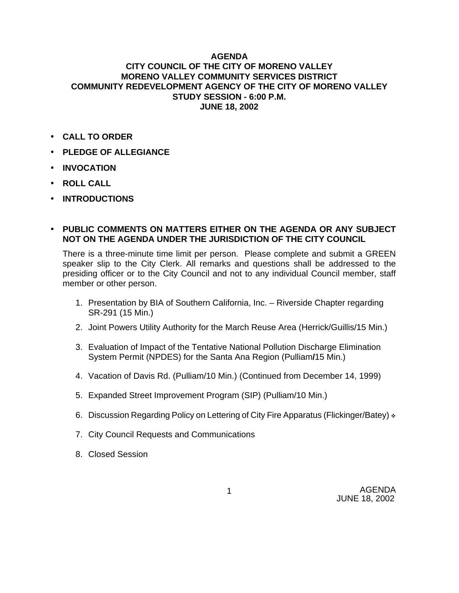## **AGENDA CITY COUNCIL OF THE CITY OF MORENO VALLEY MORENO VALLEY COMMUNITY SERVICES DISTRICT COMMUNITY REDEVELOPMENT AGENCY OF THE CITY OF MORENO VALLEY STUDY SESSION - 6:00 P.M. JUNE 18, 2002**

- **CALL TO ORDER**
- **PLEDGE OF ALLEGIANCE**
- **INVOCATION**
- **ROLL CALL**
- **INTRODUCTIONS**
- **PUBLIC COMMENTS ON MATTERS EITHER ON THE AGENDA OR ANY SUBJECT NOT ON THE AGENDA UNDER THE JURISDICTION OF THE CITY COUNCIL**

There is a three-minute time limit per person. Please complete and submit a GREEN speaker slip to the City Clerk. All remarks and questions shall be addressed to the presiding officer or to the City Council and not to any individual Council member, staff member or other person.

- 1. Presentation by BIA of Southern California, Inc. Riverside Chapter regarding SR-291 (15 Min.)
- 2. Joint Powers Utility Authority for the March Reuse Area (Herrick/Guillis/15 Min.)
- 3. Evaluation of Impact of the Tentative National Pollution Discharge Elimination System Permit (NPDES) for the Santa Ana Region (Pulliam**/**15 Min.)
- 4. Vacation of Davis Rd. (Pulliam/10 Min.) (Continued from December 14, 1999)
- 5. Expanded Street Improvement Program (SIP) (Pulliam/10 Min.)
- 6. Discussion Regarding Policy on Lettering of City Fire Apparatus (Flickinger/Batey)  $\cdot$
- 7. City Council Requests and Communications
- 8. Closed Session

AGENDA JUNE 18, 2002